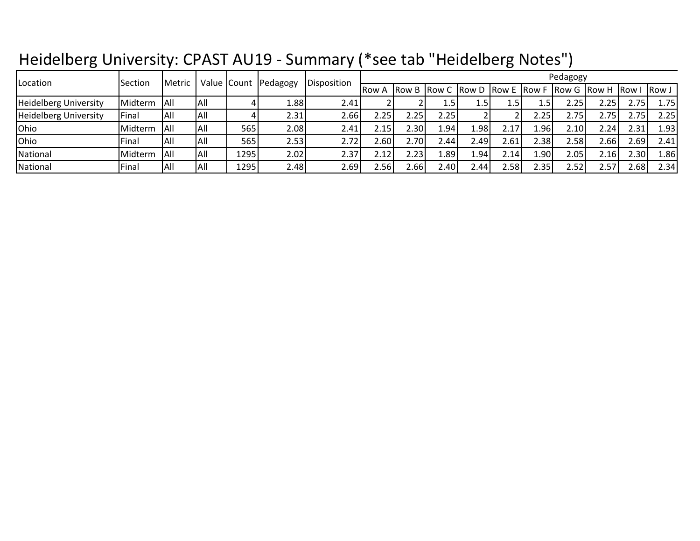## Heidelberg University: CPAST AU19 - Summary (\*see tab "Heidelberg Notes")

| Location              | Section | <b>Metric</b> |      |      | Value Count Pedagogy | Disposition       | Pedagogy     |                                             |                                      |       |      |                   |                         |       |      |      |
|-----------------------|---------|---------------|------|------|----------------------|-------------------|--------------|---------------------------------------------|--------------------------------------|-------|------|-------------------|-------------------------|-------|------|------|
|                       |         |               |      |      |                      |                   | IRow A       |                                             | <b>Row B Row C Row D Row E Row F</b> |       |      |                   | Row G Row H Row I Row J |       |      |      |
| Heidelberg University | Midterm | <b>All</b>    | IAII |      | 1.88 I               | 2.41              |              |                                             | $4.5^{\circ}$                        |       | 1.5  | $4.5^{\circ}$     | 2.25                    | 2.25  | 2.75 | 1.75 |
| Heidelberg University | Final   | All           | IAII |      | 2.31l                | 2.66              | 2.25         | $2.25$ <sup><math>\overline{ }</math></sup> | 2.25                                 |       |      | $2.25^{\circ}$    | 2.75                    | 2.75  | 2.75 | 2.25 |
| Ohio                  | Midterm | IAII          | IAII | 565  | 2.08                 | 2.41              | 2.15         | 2.30l                                       | L.94                                 | 1.981 | 2.17 | 1.961             | 2.10                    | 2.24  | 2.31 | 1.93 |
| Ohio                  | Final   | IAII          | IAII | 565  | 2.53 <b>I</b>        | 2.72 <sub>1</sub> | 2.60         | 2.701                                       | 2.44                                 | 2.49  | 2.61 | 2.38              | 2.58l                   | 2.66  | 2.69 | 2.41 |
| National              | Midterm | IAII          | IAII | 1295 | 2.02                 | 2.37              | 2.121        | 2.23                                        | ا98.⊾                                | 1.94' | 2.14 | 1.90              | 2.05                    | 2.16I | 2.30 | 1.86 |
| National              | Final   | All           | IAII | 1295 | 2.48                 | 2.69              | <b>2.561</b> | 2.661                                       | 2.40I                                | 2.44  | 2.58 | 2.35 <sub>1</sub> | 2.52                    | 2.57  | 2.68 | 2.34 |